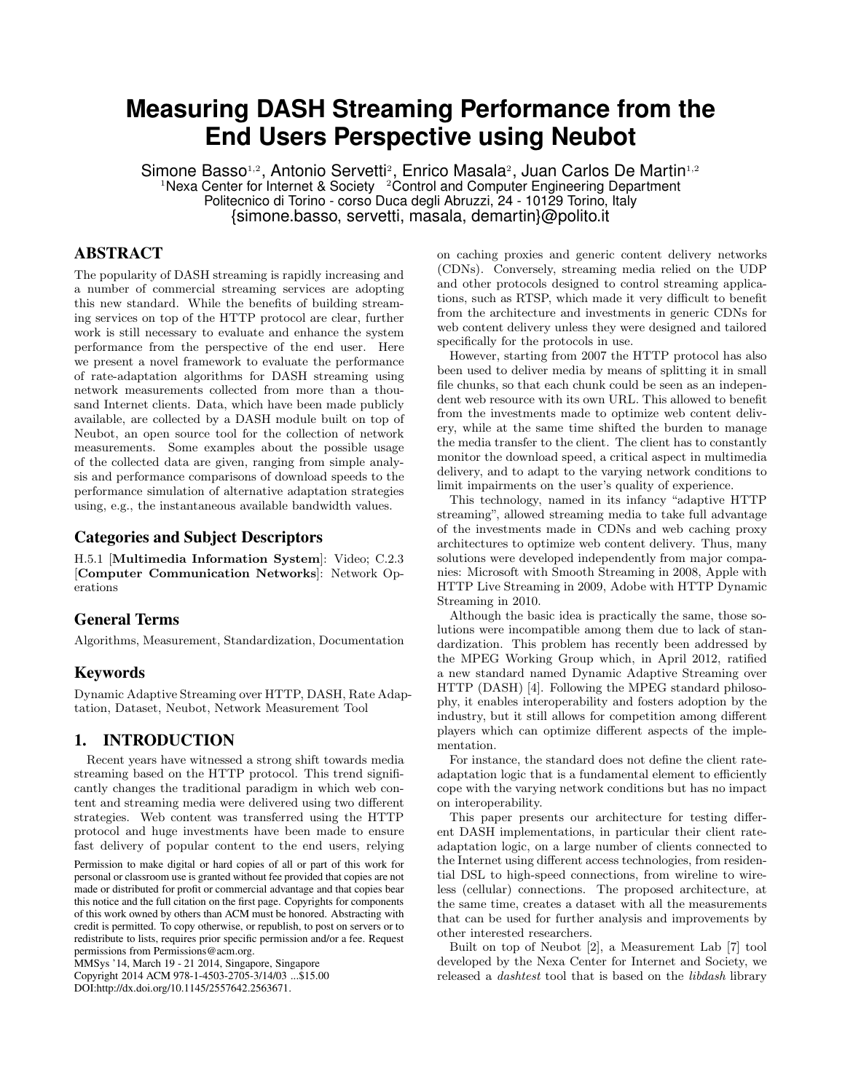# **Measuring DASH Streaming Performance from the End Users Perspective using Neubot**

Simone Basso<sup>1,2</sup>, Antonio Servetti<sup>2</sup>, Enrico Masala<sup>2</sup>, Juan Carlos De Martin<sup>1,2</sup>  $1$ Nexa Center for Internet & Society  $2$ Control and Computer Engineering Department Politecnico di Torino - corso Duca degli Abruzzi, 24 - 10129 Torino, Italy {simone.basso, servetti, masala, demartin}@polito.it

## ABSTRACT

The popularity of DASH streaming is rapidly increasing and a number of commercial streaming services are adopting this new standard. While the benefits of building streaming services on top of the HTTP protocol are clear, further work is still necessary to evaluate and enhance the system performance from the perspective of the end user. Here we present a novel framework to evaluate the performance of rate-adaptation algorithms for DASH streaming using network measurements collected from more than a thousand Internet clients. Data, which have been made publicly available, are collected by a DASH module built on top of Neubot, an open source tool for the collection of network measurements. Some examples about the possible usage of the collected data are given, ranging from simple analysis and performance comparisons of download speeds to the performance simulation of alternative adaptation strategies using, e.g., the instantaneous available bandwidth values.

## Categories and Subject Descriptors

H.5.1 [Multimedia Information System]: Video; C.2.3 [Computer Communication Networks]: Network Operations

#### General Terms

Algorithms, Measurement, Standardization, Documentation

#### Keywords

Dynamic Adaptive Streaming over HTTP, DASH, Rate Adaptation, Dataset, Neubot, Network Measurement Tool

## 1. INTRODUCTION

Recent years have witnessed a strong shift towards media streaming based on the HTTP protocol. This trend significantly changes the traditional paradigm in which web content and streaming media were delivered using two different strategies. Web content was transferred using the HTTP protocol and huge investments have been made to ensure fast delivery of popular content to the end users, relying

Permission to make digital or hard copies of all or part of this work for personal or classroom use is granted without fee provided that copies are not made or distributed for profit or commercial advantage and that copies bear this notice and the full citation on the first page. Copyrights for components of this work owned by others than ACM must be honored. Abstracting with credit is permitted. To copy otherwise, or republish, to post on servers or to redistribute to lists, requires prior specific permission and/or a fee. Request permissions from Permissions@acm.org.

MMSys '14, March 19 - 21 2014, Singapore, Singapore Copyright 2014 ACM 978-1-4503-2705-3/14/03 ...\$15.00 DOI:http://dx.doi.org/10.1145/2557642.2563671.

on caching proxies and generic content delivery networks (CDNs). Conversely, streaming media relied on the UDP and other protocols designed to control streaming applications, such as RTSP, which made it very difficult to benefit from the architecture and investments in generic CDNs for web content delivery unless they were designed and tailored specifically for the protocols in use.

However, starting from 2007 the HTTP protocol has also been used to deliver media by means of splitting it in small file chunks, so that each chunk could be seen as an independent web resource with its own URL. This allowed to benefit from the investments made to optimize web content delivery, while at the same time shifted the burden to manage the media transfer to the client. The client has to constantly monitor the download speed, a critical aspect in multimedia delivery, and to adapt to the varying network conditions to limit impairments on the user's quality of experience.

This technology, named in its infancy "adaptive HTTP streaming", allowed streaming media to take full advantage of the investments made in CDNs and web caching proxy architectures to optimize web content delivery. Thus, many solutions were developed independently from major companies: Microsoft with Smooth Streaming in 2008, Apple with HTTP Live Streaming in 2009, Adobe with HTTP Dynamic Streaming in 2010.

Although the basic idea is practically the same, those solutions were incompatible among them due to lack of standardization. This problem has recently been addressed by the MPEG Working Group which, in April 2012, ratified a new standard named Dynamic Adaptive Streaming over HTTP (DASH) [4]. Following the MPEG standard philosophy, it enables interoperability and fosters adoption by the industry, but it still allows for competition among different players which can optimize different aspects of the implementation.

For instance, the standard does not define the client rateadaptation logic that is a fundamental element to efficiently cope with the varying network conditions but has no impact on interoperability.

This paper presents our architecture for testing different DASH implementations, in particular their client rateadaptation logic, on a large number of clients connected to the Internet using different access technologies, from residential DSL to high-speed connections, from wireline to wireless (cellular) connections. The proposed architecture, at the same time, creates a dataset with all the measurements that can be used for further analysis and improvements by other interested researchers.

Built on top of Neubot [2], a Measurement Lab [7] tool developed by the Nexa Center for Internet and Society, we released a dashtest tool that is based on the libdash library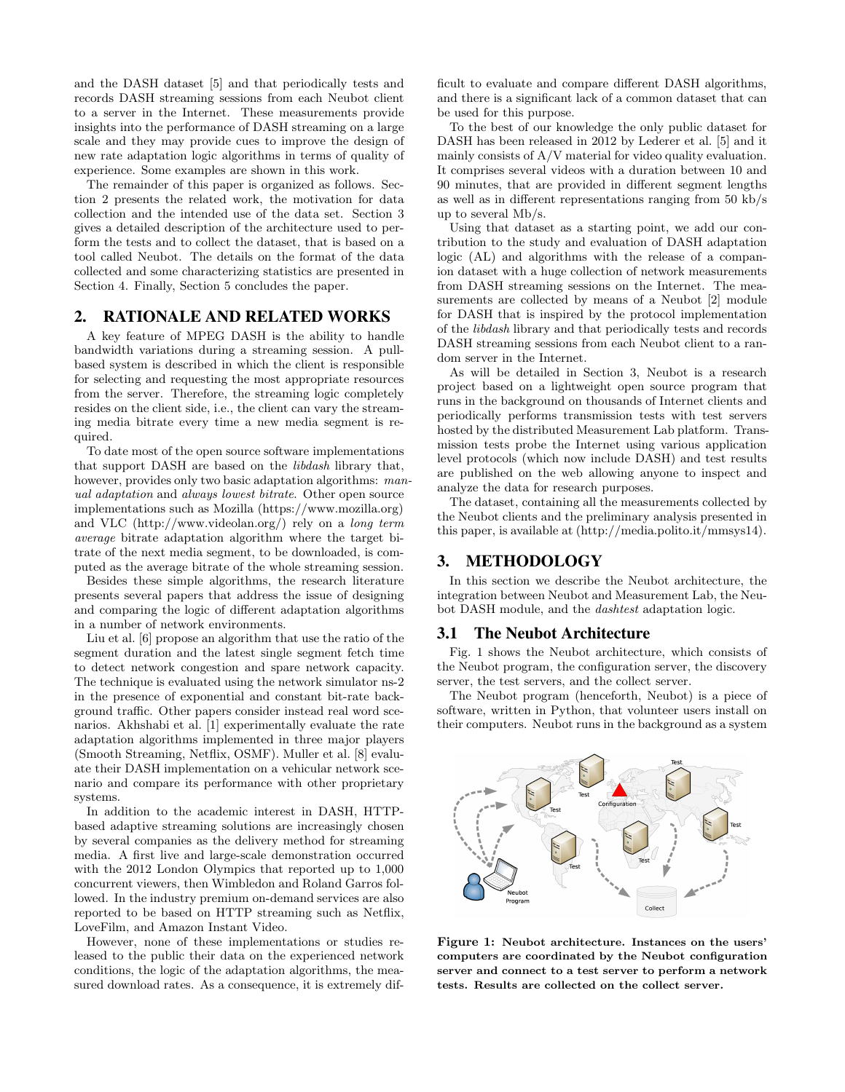and the DASH dataset [5] and that periodically tests and records DASH streaming sessions from each Neubot client to a server in the Internet. These measurements provide insights into the performance of DASH streaming on a large scale and they may provide cues to improve the design of new rate adaptation logic algorithms in terms of quality of experience. Some examples are shown in this work.

The remainder of this paper is organized as follows. Section 2 presents the related work, the motivation for data collection and the intended use of the data set. Section 3 gives a detailed description of the architecture used to perform the tests and to collect the dataset, that is based on a tool called Neubot. The details on the format of the data collected and some characterizing statistics are presented in Section 4. Finally, Section 5 concludes the paper.

# 2. RATIONALE AND RELATED WORKS

A key feature of MPEG DASH is the ability to handle bandwidth variations during a streaming session. A pullbased system is described in which the client is responsible for selecting and requesting the most appropriate resources from the server. Therefore, the streaming logic completely resides on the client side, i.e., the client can vary the streaming media bitrate every time a new media segment is required.

To date most of the open source software implementations that support DASH are based on the libdash library that, however, provides only two basic adaptation algorithms: manual adaptation and always lowest bitrate. Other open source implementations such as Mozilla (https://www.mozilla.org) and VLC (http://www.videolan.org/) rely on a long term average bitrate adaptation algorithm where the target bitrate of the next media segment, to be downloaded, is computed as the average bitrate of the whole streaming session.

Besides these simple algorithms, the research literature presents several papers that address the issue of designing and comparing the logic of different adaptation algorithms in a number of network environments.

Liu et al. [6] propose an algorithm that use the ratio of the segment duration and the latest single segment fetch time to detect network congestion and spare network capacity. The technique is evaluated using the network simulator ns-2 in the presence of exponential and constant bit-rate background traffic. Other papers consider instead real word scenarios. Akhshabi et al. [1] experimentally evaluate the rate adaptation algorithms implemented in three major players (Smooth Streaming, Netflix, OSMF). Muller et al. [8] evaluate their DASH implementation on a vehicular network scenario and compare its performance with other proprietary systems.

In addition to the academic interest in DASH, HTTPbased adaptive streaming solutions are increasingly chosen by several companies as the delivery method for streaming media. A first live and large-scale demonstration occurred with the 2012 London Olympics that reported up to 1,000 concurrent viewers, then Wimbledon and Roland Garros followed. In the industry premium on-demand services are also reported to be based on HTTP streaming such as Netflix, LoveFilm, and Amazon Instant Video.

However, none of these implementations or studies released to the public their data on the experienced network conditions, the logic of the adaptation algorithms, the measured download rates. As a consequence, it is extremely difficult to evaluate and compare different DASH algorithms, and there is a significant lack of a common dataset that can be used for this purpose.

To the best of our knowledge the only public dataset for DASH has been released in 2012 by Lederer et al. [5] and it mainly consists of A/V material for video quality evaluation. It comprises several videos with a duration between 10 and 90 minutes, that are provided in different segment lengths as well as in different representations ranging from 50 kb/s up to several Mb/s.

Using that dataset as a starting point, we add our contribution to the study and evaluation of DASH adaptation logic (AL) and algorithms with the release of a companion dataset with a huge collection of network measurements from DASH streaming sessions on the Internet. The measurements are collected by means of a Neubot [2] module for DASH that is inspired by the protocol implementation of the libdash library and that periodically tests and records DASH streaming sessions from each Neubot client to a random server in the Internet.

As will be detailed in Section 3, Neubot is a research project based on a lightweight open source program that runs in the background on thousands of Internet clients and periodically performs transmission tests with test servers hosted by the distributed Measurement Lab platform. Transmission tests probe the Internet using various application level protocols (which now include DASH) and test results are published on the web allowing anyone to inspect and analyze the data for research purposes.

The dataset, containing all the measurements collected by the Neubot clients and the preliminary analysis presented in this paper, is available at (http://media.polito.it/mmsys14).

## 3. METHODOLOGY

In this section we describe the Neubot architecture, the integration between Neubot and Measurement Lab, the Neubot DASH module, and the dashtest adaptation logic.

#### 3.1 The Neubot Architecture

Fig. 1 shows the Neubot architecture, which consists of the Neubot program, the configuration server, the discovery server, the test servers, and the collect server.

The Neubot program (henceforth, Neubot) is a piece of software, written in Python, that volunteer users install on their computers. Neubot runs in the background as a system



Figure 1: Neubot architecture. Instances on the users' computers are coordinated by the Neubot configuration server and connect to a test server to perform a network tests. Results are collected on the collect server.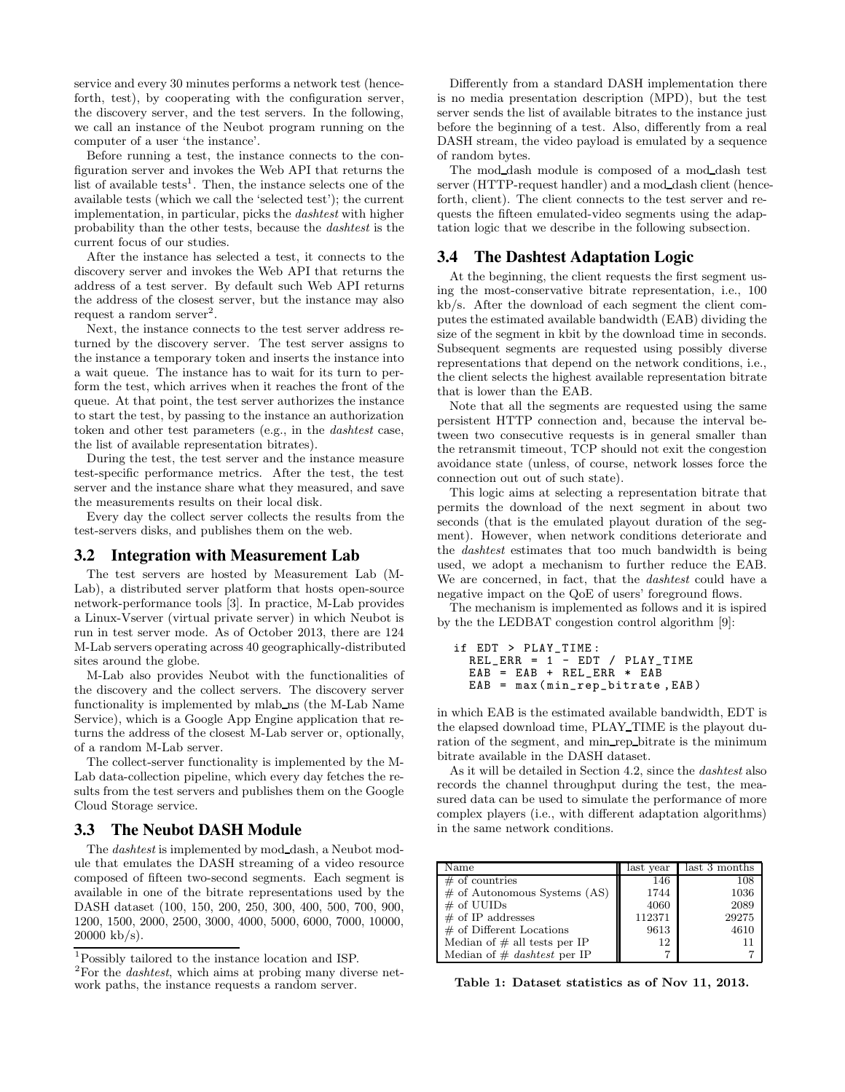service and every 30 minutes performs a network test (henceforth, test), by cooperating with the configuration server, the discovery server, and the test servers. In the following, we call an instance of the Neubot program running on the computer of a user 'the instance'.

Before running a test, the instance connects to the configuration server and invokes the Web API that returns the list of available tests<sup>1</sup>. Then, the instance selects one of the available tests (which we call the 'selected test'); the current implementation, in particular, picks the dashtest with higher probability than the other tests, because the dashtest is the current focus of our studies.

After the instance has selected a test, it connects to the discovery server and invokes the Web API that returns the address of a test server. By default such Web API returns the address of the closest server, but the instance may also request a random server<sup>2</sup>.

Next, the instance connects to the test server address returned by the discovery server. The test server assigns to the instance a temporary token and inserts the instance into a wait queue. The instance has to wait for its turn to perform the test, which arrives when it reaches the front of the queue. At that point, the test server authorizes the instance to start the test, by passing to the instance an authorization token and other test parameters (e.g., in the dashtest case, the list of available representation bitrates).

During the test, the test server and the instance measure test-specific performance metrics. After the test, the test server and the instance share what they measured, and save the measurements results on their local disk.

Every day the collect server collects the results from the test-servers disks, and publishes them on the web.

#### 3.2 Integration with Measurement Lab

The test servers are hosted by Measurement Lab (M-Lab), a distributed server platform that hosts open-source network-performance tools [3]. In practice, M-Lab provides a Linux-Vserver (virtual private server) in which Neubot is run in test server mode. As of October 2013, there are 124 M-Lab servers operating across 40 geographically-distributed sites around the globe.

M-Lab also provides Neubot with the functionalities of the discovery and the collect servers. The discovery server functionality is implemented by mlab\_ns (the M-Lab Name Service), which is a Google App Engine application that returns the address of the closest M-Lab server or, optionally, of a random M-Lab server.

The collect-server functionality is implemented by the M-Lab data-collection pipeline, which every day fetches the results from the test servers and publishes them on the Google Cloud Storage service.

#### 3.3 The Neubot DASH Module

The *dashtest* is implemented by mod\_dash, a Neubot module that emulates the DASH streaming of a video resource composed of fifteen two-second segments. Each segment is available in one of the bitrate representations used by the DASH dataset (100, 150, 200, 250, 300, 400, 500, 700, 900, 1200, 1500, 2000, 2500, 3000, 4000, 5000, 6000, 7000, 10000,  $20000 \text{ kb/s}$ .

Differently from a standard DASH implementation there is no media presentation description (MPD), but the test server sends the list of available bitrates to the instance just before the beginning of a test. Also, differently from a real DASH stream, the video payload is emulated by a sequence of random bytes.

The mod dash module is composed of a mod dash test server (HTTP-request handler) and a mod\_dash client (henceforth, client). The client connects to the test server and requests the fifteen emulated-video segments using the adaptation logic that we describe in the following subsection.

#### 3.4 The Dashtest Adaptation Logic

At the beginning, the client requests the first segment using the most-conservative bitrate representation, i.e., 100 kb/s. After the download of each segment the client computes the estimated available bandwidth (EAB) dividing the size of the segment in kbit by the download time in seconds. Subsequent segments are requested using possibly diverse representations that depend on the network conditions, i.e., the client selects the highest available representation bitrate that is lower than the EAB.

Note that all the segments are requested using the same persistent HTTP connection and, because the interval between two consecutive requests is in general smaller than the retransmit timeout, TCP should not exit the congestion avoidance state (unless, of course, network losses force the connection out out of such state).

This logic aims at selecting a representation bitrate that permits the download of the next segment in about two seconds (that is the emulated playout duration of the segment). However, when network conditions deteriorate and the dashtest estimates that too much bandwidth is being used, we adopt a mechanism to further reduce the EAB. We are concerned, in fact, that the *dashtest* could have a negative impact on the QoE of users' foreground flows.

The mechanism is implemented as follows and it is ispired by the the LEDBAT congestion control algorithm [9]:

```
if EDT > PLAY_TIME :
REL_ERR = 1 - EDT / PLAY_TIME
EAB = EAB + REL_ERR * EABEAB = max(min\_rep\_bitrate, EAB)
```
in which EAB is the estimated available bandwidth, EDT is the elapsed download time, PLAY TIME is the playout duration of the segment, and min rep bitrate is the minimum bitrate available in the DASH dataset.

As it will be detailed in Section 4.2, since the dashtest also records the channel throughput during the test, the measured data can be used to simulate the performance of more complex players (i.e., with different adaptation algorithms) in the same network conditions.

| Name                            | last year | last 3 months |
|---------------------------------|-----------|---------------|
| $\#$ of countries               | 146       | 108           |
| $\#$ of Autonomous Systems (AS) | 1744      | 1036          |
| $#$ of UUIDs                    | 4060      | 2089          |
| $\#$ of IP addresses            | 112371    | 29275         |
| $\#$ of Different Locations     | 9613      | 4610          |
| Median of $\#$ all tests per IP | 12        |               |
| Median of $#$ dashtest per IP   |           |               |

Table 1: Dataset statistics as of Nov 11, 2013.

<sup>1</sup>Possibly tailored to the instance location and ISP.

<sup>2</sup>For the dashtest, which aims at probing many diverse network paths, the instance requests a random server.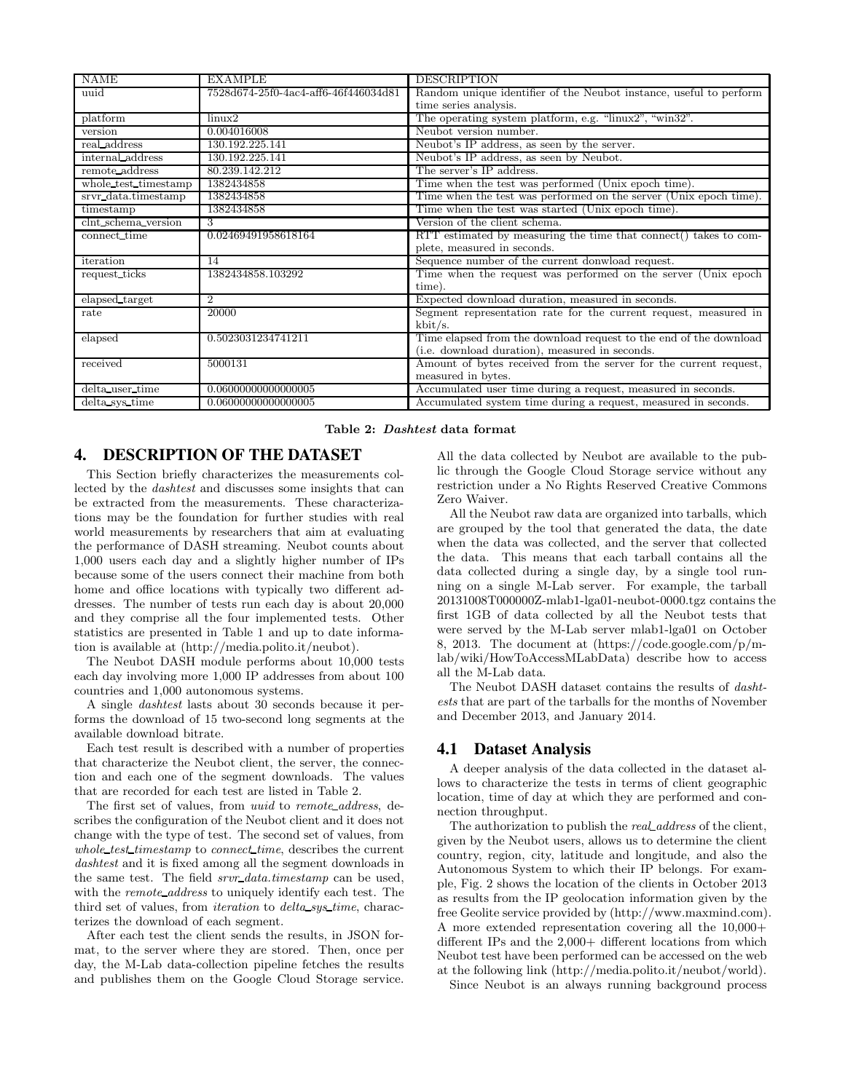| <b>NAME</b>          | <b>EXAMPLE</b>                       | <b>DESCRIPTION</b>                                                 |  |
|----------------------|--------------------------------------|--------------------------------------------------------------------|--|
| uuid                 | 7528d674-25f0-4ac4-aff6-46f446034d81 | Random unique identifier of the Neubot instance, useful to perform |  |
|                      |                                      | time series analysis.                                              |  |
| platform             | $\overline{\text{linux2}}$           | The operating system platform, e.g. "linux2", "win32".             |  |
| version              | 0.004016008                          | Neubot version number.                                             |  |
| real_address         | 130.192.225.141                      | Neubot's IP address, as seen by the server.                        |  |
| internal_address     | 130.192.225.141                      | Neubot's IP address, as seen by Neubot.                            |  |
| remote_address       | 80.239.142.212                       | The server's IP address.                                           |  |
| whole_test_timestamp | 1382434858                           | Time when the test was performed (Unix epoch time).                |  |
| srvr_data.timestamp  | 1382434858                           | Time when the test was performed on the server (Unix epoch time).  |  |
| timestamp            | 1382434858                           | Time when the test was started (Unix epoch time).                  |  |
| clnt_schema_version  | 3                                    | Version of the client schema.                                      |  |
| connect_time         | 0.02469491958618164                  | RTT estimated by measuring the time that connect() takes to com-   |  |
|                      |                                      | plete, measured in seconds.                                        |  |
| iteration            | 14                                   | Sequence number of the current donwload request.                   |  |
| request_ticks        | 1382434858.103292                    | Time when the request was performed on the server (Unix epoch      |  |
|                      |                                      | time).                                                             |  |
| elapsed_target       | $\overline{2}$                       | Expected download duration, measured in seconds.                   |  |
| rate                 | 20000                                | Segment representation rate for the current request, measured in   |  |
|                      |                                      | kbit/s.                                                            |  |
| elapsed              | 0.5023031234741211                   | Time elapsed from the download request to the end of the download  |  |
|                      |                                      | (i.e. download duration), measured in seconds.                     |  |
| received             | 5000131                              | Amount of bytes received from the server for the current request,  |  |
|                      |                                      | measured in bytes.                                                 |  |
| delta user time      | 0.06000000000000005                  | Accumulated user time during a request, measured in seconds.       |  |
| delta_sys_time       | 0.06000000000000005                  | Accumulated system time during a request, measured in seconds.     |  |

Table 2: Dashtest data format

# 4. DESCRIPTION OF THE DATASET

This Section briefly characterizes the measurements collected by the dashtest and discusses some insights that can be extracted from the measurements. These characterizations may be the foundation for further studies with real world measurements by researchers that aim at evaluating the performance of DASH streaming. Neubot counts about 1,000 users each day and a slightly higher number of IPs because some of the users connect their machine from both home and office locations with typically two different addresses. The number of tests run each day is about 20,000 and they comprise all the four implemented tests. Other statistics are presented in Table 1 and up to date information is available at (http://media.polito.it/neubot).

The Neubot DASH module performs about 10,000 tests each day involving more 1,000 IP addresses from about 100 countries and 1,000 autonomous systems.

A single dashtest lasts about 30 seconds because it performs the download of 15 two-second long segments at the available download bitrate.

Each test result is described with a number of properties that characterize the Neubot client, the server, the connection and each one of the segment downloads. The values that are recorded for each test are listed in Table 2.

The first set of values, from *uuid* to *remote\_address*, describes the configuration of the Neubot client and it does not change with the type of test. The second set of values, from whole test timestamp to connect time, describes the current dashtest and it is fixed among all the segment downloads in the same test. The field  $srvr\_data.time stamp$  can be used, with the remote address to uniquely identify each test. The third set of values, from *iteration* to *delta\_sys\_time*, characterizes the download of each segment.

After each test the client sends the results, in JSON format, to the server where they are stored. Then, once per day, the M-Lab data-collection pipeline fetches the results and publishes them on the Google Cloud Storage service. All the data collected by Neubot are available to the public through the Google Cloud Storage service without any restriction under a No Rights Reserved Creative Commons Zero Waiver.

All the Neubot raw data are organized into tarballs, which are grouped by the tool that generated the data, the date when the data was collected, and the server that collected the data. This means that each tarball contains all the data collected during a single day, by a single tool running on a single M-Lab server. For example, the tarball 20131008T000000Z-mlab1-lga01-neubot-0000.tgz contains the first 1GB of data collected by all the Neubot tests that were served by the M-Lab server mlab1-lga01 on October 8, 2013. The document at (https://code.google.com/p/mlab/wiki/HowToAccessMLabData) describe how to access all the M-Lab data.

The Neubot DASH dataset contains the results of dashtests that are part of the tarballs for the months of November and December 2013, and January 2014.

## 4.1 Dataset Analysis

A deeper analysis of the data collected in the dataset allows to characterize the tests in terms of client geographic location, time of day at which they are performed and connection throughput.

The authorization to publish the *real address* of the client, given by the Neubot users, allows us to determine the client country, region, city, latitude and longitude, and also the Autonomous System to which their IP belongs. For example, Fig. 2 shows the location of the clients in October 2013 as results from the IP geolocation information given by the free Geolite service provided by (http://www.maxmind.com). A more extended representation covering all the 10,000+ different IPs and the 2,000+ different locations from which Neubot test have been performed can be accessed on the web at the following link (http://media.polito.it/neubot/world).

Since Neubot is an always running background process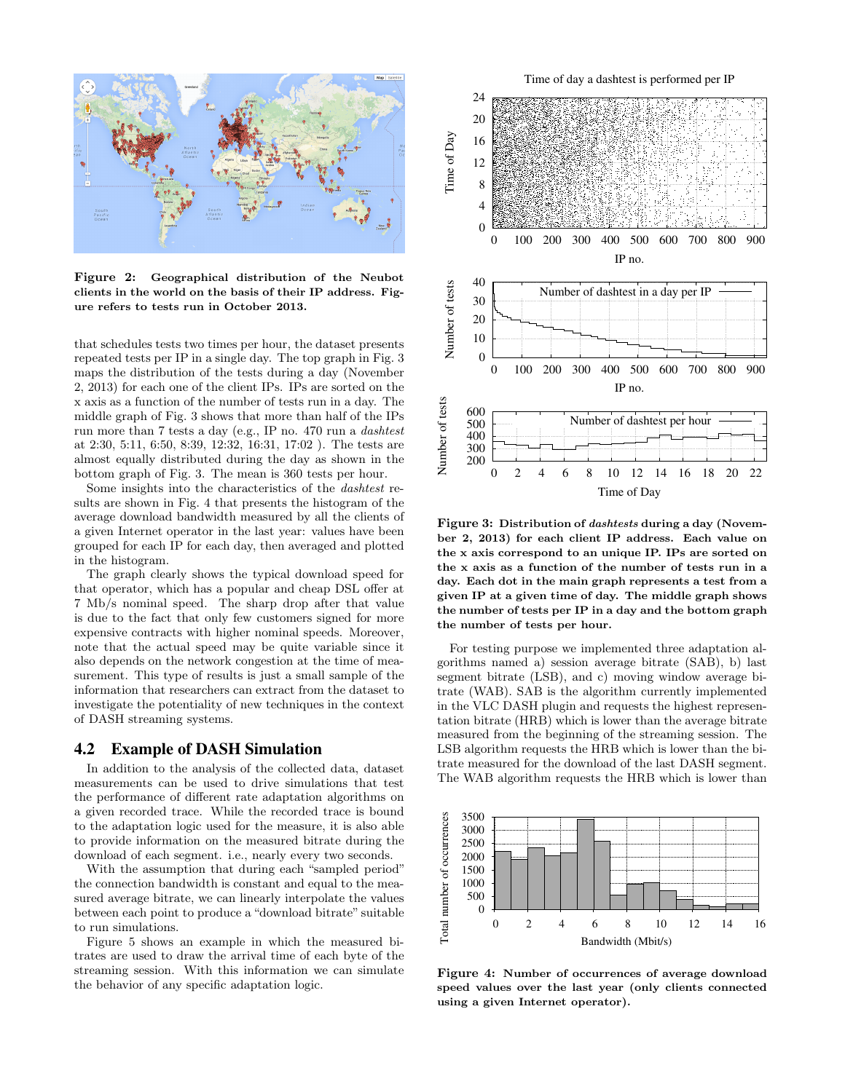

Figure 2: Geographical distribution of the Neubot clients in the world on the basis of their IP address. Figure refers to tests run in October 2013.

that schedules tests two times per hour, the dataset presents repeated tests per IP in a single day. The top graph in Fig. 3 maps the distribution of the tests during a day (November 2, 2013) for each one of the client IPs. IPs are sorted on the x axis as a function of the number of tests run in a day. The middle graph of Fig. 3 shows that more than half of the IPs run more than 7 tests a day (e.g., IP no. 470 run a dashtest at 2:30, 5:11, 6:50, 8:39, 12:32, 16:31, 17:02 ). The tests are almost equally distributed during the day as shown in the bottom graph of Fig. 3. The mean is 360 tests per hour.

Some insights into the characteristics of the dashtest results are shown in Fig. 4 that presents the histogram of the average download bandwidth measured by all the clients of a given Internet operator in the last year: values have been grouped for each IP for each day, then averaged and plotted in the histogram.

The graph clearly shows the typical download speed for that operator, which has a popular and cheap DSL offer at 7 Mb/s nominal speed. The sharp drop after that value is due to the fact that only few customers signed for more expensive contracts with higher nominal speeds. Moreover, note that the actual speed may be quite variable since it also depends on the network congestion at the time of measurement. This type of results is just a small sample of the information that researchers can extract from the dataset to investigate the potentiality of new techniques in the context of DASH streaming systems.

## 4.2 Example of DASH Simulation

In addition to the analysis of the collected data, dataset measurements can be used to drive simulations that test the performance of different rate adaptation algorithms on a given recorded trace. While the recorded trace is bound to the adaptation logic used for the measure, it is also able to provide information on the measured bitrate during the download of each segment. i.e., nearly every two seconds.

With the assumption that during each "sampled period" the connection bandwidth is constant and equal to the measured average bitrate, we can linearly interpolate the values between each point to produce a "download bitrate" suitable to run simulations.

Figure 5 shows an example in which the measured bitrates are used to draw the arrival time of each byte of the streaming session. With this information we can simulate the behavior of any specific adaptation logic.



Figure 3: Distribution of dashtests during a day (November 2, 2013) for each client IP address. Each value on the x axis correspond to an unique IP. IPs are sorted on the x axis as a function of the number of tests run in a day. Each dot in the main graph represents a test from a given IP at a given time of day. The middle graph shows the number of tests per IP in a day and the bottom graph the number of tests per hour.

For testing purpose we implemented three adaptation algorithms named a) session average bitrate (SAB), b) last segment bitrate (LSB), and c) moving window average bitrate (WAB). SAB is the algorithm currently implemented in the VLC DASH plugin and requests the highest representation bitrate (HRB) which is lower than the average bitrate measured from the beginning of the streaming session. The LSB algorithm requests the HRB which is lower than the bitrate measured for the download of the last DASH segment. The WAB algorithm requests the HRB which is lower than



Figure 4: Number of occurrences of average download speed values over the last year (only clients connected using a given Internet operator).